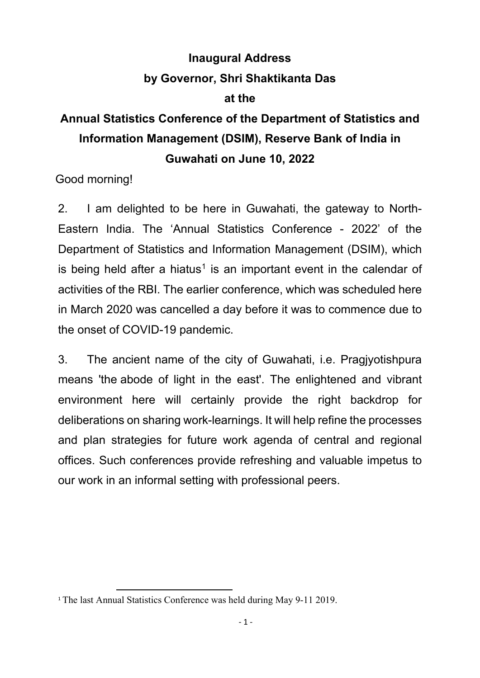## **Inaugural Address by Governor, Shri Shaktikanta Das at the**

# **Annual Statistics Conference of the Department of Statistics and Information Management (DSIM), Reserve Bank of India in Guwahati on June 10, 2022**

Good morning!

2. I am delighted to be here in Guwahati, the gateway to North-Eastern India. The 'Annual Statistics Conference - 2022' of the Department of Statistics and Information Management (DSIM), which is being held after a hiatus<sup>[1](#page-0-0)</sup> is an important event in the calendar of activities of the RBI. The earlier conference, which was scheduled here in March 2020 was cancelled a day before it was to commence due to the onset of COVID-19 pandemic.

3. The ancient name of the city of Guwahati, i.e. Pragjyotishpura means 'the abode of light in the east'. The enlightened and vibrant environment here will certainly provide the right backdrop for deliberations on sharing work-learnings. It will help refine the processes and plan strategies for future work agenda of central and regional offices. Such conferences provide refreshing and valuable impetus to our work in an informal setting with professional peers.

<span id="page-0-0"></span><sup>&</sup>lt;sup>1</sup> The last Annual Statistics Conference was held during May 9-11 2019.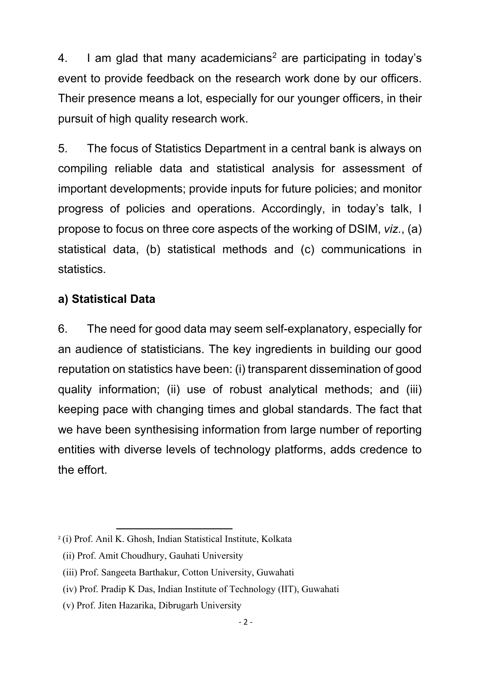4. I am glad that many academicians<sup>[2](#page-1-0)</sup> are participating in today's event to provide feedback on the research work done by our officers. Their presence means a lot, especially for our younger officers, in their pursuit of high quality research work.

5. The focus of Statistics Department in a central bank is always on compiling reliable data and statistical analysis for assessment of important developments; provide inputs for future policies; and monitor progress of policies and operations. Accordingly, in today's talk, I propose to focus on three core aspects of the working of DSIM, *viz.*, (a) statistical data, (b) statistical methods and (c) communications in statistics.

## **a) Statistical Data**

6. The need for good data may seem self-explanatory, especially for an audience of statisticians. The key ingredients in building our good reputation on statistics have been: (i) transparent dissemination of good quality information; (ii) use of robust analytical methods; and (iii) keeping pace with changing times and global standards. The fact that we have been synthesising information from large number of reporting entities with diverse levels of technology platforms, adds credence to the effort.

<span id="page-1-0"></span> <sup>2</sup> (i) Prof. Anil K. Ghosh, Indian Statistical Institute, Kolkata

 <sup>(</sup>ii) Prof. Amit Choudhury, Gauhati University

 <sup>(</sup>iii) Prof. Sangeeta Barthakur, Cotton University, Guwahati

 <sup>(</sup>iv) Prof. Pradip K Das, Indian Institute of Technology (IIT), Guwahati

 <sup>(</sup>v) Prof. Jiten Hazarika, Dibrugarh University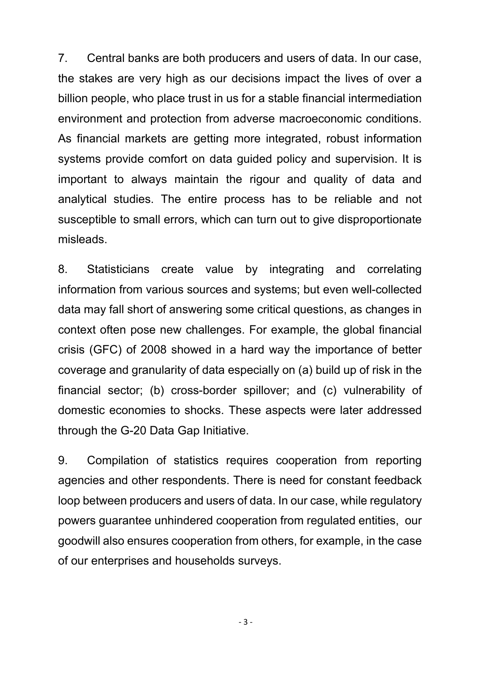7. Central banks are both producers and users of data. In our case, the stakes are very high as our decisions impact the lives of over a billion people, who place trust in us for a stable financial intermediation environment and protection from adverse macroeconomic conditions. As financial markets are getting more integrated, robust information systems provide comfort on data guided policy and supervision. It is important to always maintain the rigour and quality of data and analytical studies. The entire process has to be reliable and not susceptible to small errors, which can turn out to give disproportionate misleads.

8. Statisticians create value by integrating and correlating information from various sources and systems; but even well-collected data may fall short of answering some critical questions, as changes in context often pose new challenges. For example, the global financial crisis (GFC) of 2008 showed in a hard way the importance of better coverage and granularity of data especially on (a) build up of risk in the financial sector; (b) cross-border spillover; and (c) vulnerability of domestic economies to shocks. These aspects were later addressed through the G-20 Data Gap Initiative.

9. Compilation of statistics requires cooperation from reporting agencies and other respondents. There is need for constant feedback loop between producers and users of data. In our case, while regulatory powers guarantee unhindered cooperation from regulated entities, our goodwill also ensures cooperation from others, for example, in the case of our enterprises and households surveys.

- 3 -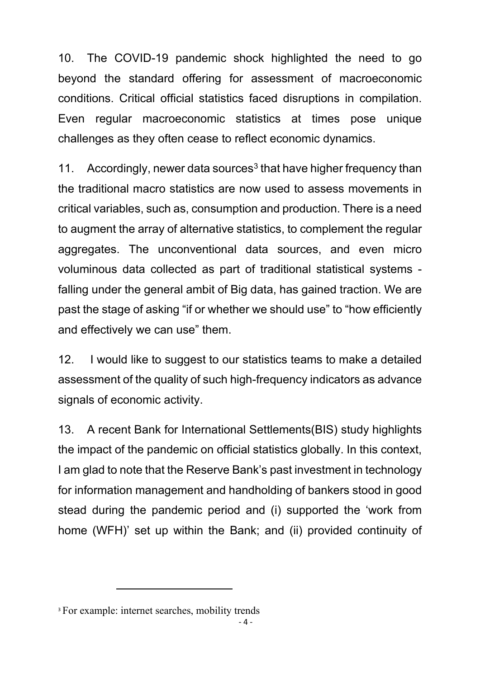10. The COVID-19 pandemic shock highlighted the need to go beyond the standard offering for assessment of macroeconomic conditions. Critical official statistics faced disruptions in compilation. Even regular macroeconomic statistics at times pose unique challenges as they often cease to reflect economic dynamics.

11. Accordingly, newer data sources<sup>[3](#page-3-0)</sup> that have higher frequency than the traditional macro statistics are now used to assess movements in critical variables, such as, consumption and production. There is a need to augment the array of alternative statistics, to complement the regular aggregates. The unconventional data sources, and even micro voluminous data collected as part of traditional statistical systems falling under the general ambit of Big data, has gained traction. We are past the stage of asking "if or whether we should use" to "how efficiently and effectively we can use" them.

12. I would like to suggest to our statistics teams to make a detailed assessment of the quality of such high-frequency indicators as advance signals of economic activity.

13. A recent Bank for International Settlements(BIS) study highlights the impact of the pandemic on official statistics globally. In this context, I am glad to note that the Reserve Bank's past investment in technology for information management and handholding of bankers stood in good stead during the pandemic period and (i) supported the 'work from home (WFH)' set up within the Bank; and (ii) provided continuity of

 $\overline{a}$ 

<span id="page-3-0"></span><sup>&</sup>lt;sup>3</sup> For example: internet searches, mobility trends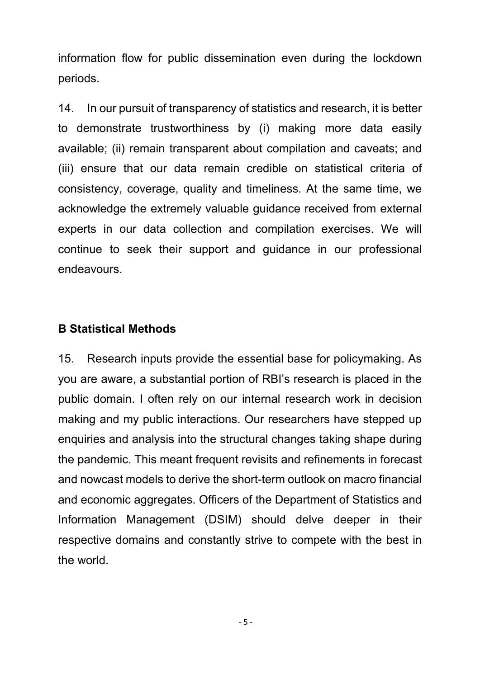information flow for public dissemination even during the lockdown periods.

14. In our pursuit of transparency of statistics and research, it is better to demonstrate trustworthiness by (i) making more data easily available; (ii) remain transparent about compilation and caveats; and (iii) ensure that our data remain credible on statistical criteria of consistency, coverage, quality and timeliness. At the same time, we acknowledge the extremely valuable guidance received from external experts in our data collection and compilation exercises. We will continue to seek their support and guidance in our professional endeavours.

### **B Statistical Methods**

15. Research inputs provide the essential base for policymaking. As you are aware, a substantial portion of RBI's research is placed in the public domain. I often rely on our internal research work in decision making and my public interactions. Our researchers have stepped up enquiries and analysis into the structural changes taking shape during the pandemic. This meant frequent revisits and refinements in forecast and nowcast models to derive the short-term outlook on macro financial and economic aggregates. Officers of the Department of Statistics and Information Management (DSIM) should delve deeper in their respective domains and constantly strive to compete with the best in the world.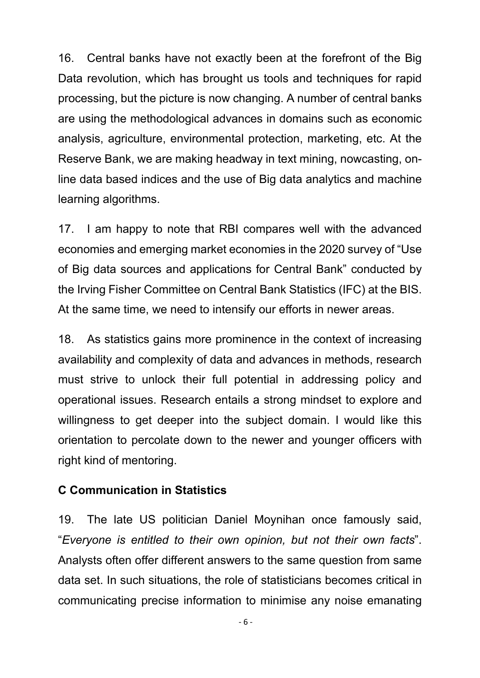16. Central banks have not exactly been at the forefront of the Big Data revolution, which has brought us tools and techniques for rapid processing, but the picture is now changing. A number of central banks are using the methodological advances in domains such as economic analysis, agriculture, environmental protection, marketing, etc. At the Reserve Bank, we are making headway in text mining, nowcasting, online data based indices and the use of Big data analytics and machine learning algorithms.

17. I am happy to note that RBI compares well with the advanced economies and emerging market economies in the 2020 survey of "Use of Big data sources and applications for Central Bank" conducted by the Irving Fisher Committee on Central Bank Statistics (IFC) at the BIS. At the same time, we need to intensify our efforts in newer areas.

18. As statistics gains more prominence in the context of increasing availability and complexity of data and advances in methods, research must strive to unlock their full potential in addressing policy and operational issues. Research entails a strong mindset to explore and willingness to get deeper into the subject domain. I would like this orientation to percolate down to the newer and younger officers with right kind of mentoring.

#### **C Communication in Statistics**

19. The late US politician Daniel Moynihan once famously said, "*Everyone is entitled to their own opinion, but not their own facts*". Analysts often offer different answers to the same question from same data set. In such situations, the role of statisticians becomes critical in communicating precise information to minimise any noise emanating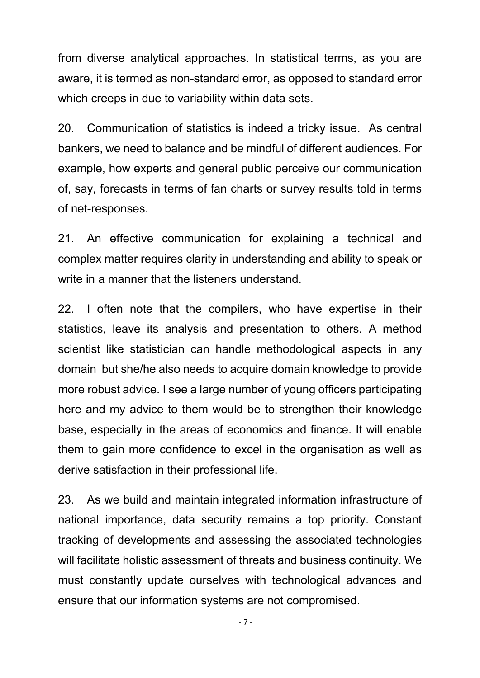from diverse analytical approaches. In statistical terms, as you are aware, it is termed as non-standard error, as opposed to standard error which creeps in due to variability within data sets.

20. Communication of statistics is indeed a tricky issue. As central bankers, we need to balance and be mindful of different audiences. For example, how experts and general public perceive our communication of, say, forecasts in terms of fan charts or survey results told in terms of net-responses.

21. An effective communication for explaining a technical and complex matter requires clarity in understanding and ability to speak or write in a manner that the listeners understand.

22. I often note that the compilers, who have expertise in their statistics, leave its analysis and presentation to others. A method scientist like statistician can handle methodological aspects in any domain but she/he also needs to acquire domain knowledge to provide more robust advice. I see a large number of young officers participating here and my advice to them would be to strengthen their knowledge base, especially in the areas of economics and finance. It will enable them to gain more confidence to excel in the organisation as well as derive satisfaction in their professional life.

23. As we build and maintain integrated information infrastructure of national importance, data security remains a top priority. Constant tracking of developments and assessing the associated technologies will facilitate holistic assessment of threats and business continuity. We must constantly update ourselves with technological advances and ensure that our information systems are not compromised.

- 7 -